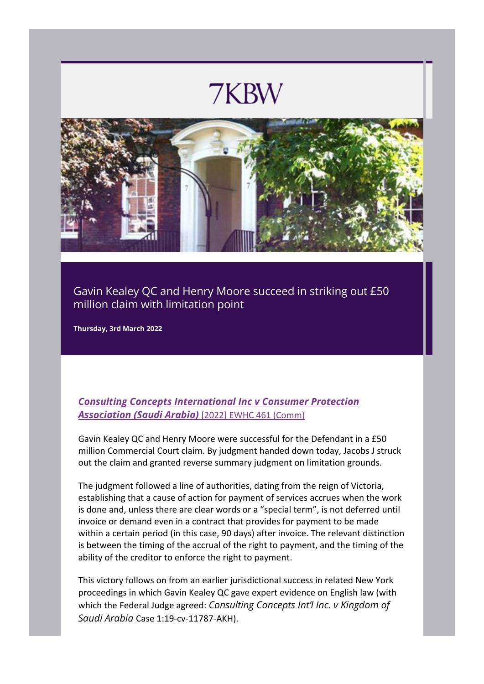## 7KBW



Gavin Kealey QC and Henry Moore succeed in striking out £50 million claim with limitation point

**Thursday, 3rd March 2022**

## *[Consulting Concepts International Inc v Consumer Protection](https://eur02.safelinks.protection.outlook.com/?url=http%3A%2F%2Flexlinks.7kbw.co.uk%2FmarketingServer%2Fincoming.aspx%3Fl%3D0x30F91944B60079A21C4DC2FD22EEDDDD542F9A7B82C2620F1CE1BE6408346D81D2946FB589470A45560B5FB55AFB3EA63A083EC7520D9E7B%26ln%3D3%26d%3D0x7C0176C586DD3A52%255E0xBCB2FE01CBD3AA72%257C0x49EB4C9596DBE1A5%255E0xBDC0B87423493533%257C0x4AA4940AA96EF179%255E0xBDC0B87423493533%257C0x1F76935CAA54AE0A%255E0x5D95D8102C9D72AE99F5E0573203051F573625199E1FE389C11016687FE94CB8%257C0x4E70367B326D3F87%255E0xBDC0B87423493533%257C0x7789D30FD723DAF4%255E0xBD7CB8659F75EE5CF0BC88250C346C4C%257C0xEC3640B4180F8F16%255E0x%257C0x40F3E49C83A12815%255E0x3ED6B436C6055F98%257C0xF1B146662D144B75%255E0x20BD05D7CA614521%257C0xEA5DE7CEE9203CB2%255E0x19097EA2D2B798A767BF9809926D827F%257C0xA14B30AADF25AF0D%255E0x17922B9099DE2B55F699159D61C256AC1EE9C6511B169AAFD3E20933019DA08F658C7C2DD509E210%257C0xA548B87FA4C989317DE335C01C7EE1CE%255E0x19097EA2D2B798A767BF9809926D827F%257C0xD52134AC788FF0FE%255E0xA308184229E76D96%257C%26c%3D233%26s%3D71&data=04%7C01%7Cleslieann%40amsoutsourcing.co.uk%7C723439d33cf748b6702408d9fd2e504d%7Ce96bdf0545bc4f56a84e8c082dde3e74%7C1%7C0%7C637819197639056373%7CUnknown%7CTWFpbGZsb3d8eyJWIjoiMC4wLjAwMDAiLCJQIjoiV2luMzIiLCJBTiI6Ik1haWwiLCJXVCI6Mn0%3D%7C3000&sdata=r1WZJSnBboVqP1y%2BDvdf%2FKWqUhDrTR8XS8FqDbjd0e8%3D&reserved=0)  [Association \(Saudi Arabia\)](https://eur02.safelinks.protection.outlook.com/?url=http%3A%2F%2Flexlinks.7kbw.co.uk%2FmarketingServer%2Fincoming.aspx%3Fl%3D0x30F91944B60079A21C4DC2FD22EEDDDD542F9A7B82C2620F1CE1BE6408346D81D2946FB589470A45560B5FB55AFB3EA63A083EC7520D9E7B%26ln%3D3%26d%3D0x7C0176C586DD3A52%255E0xBCB2FE01CBD3AA72%257C0x49EB4C9596DBE1A5%255E0xBDC0B87423493533%257C0x4AA4940AA96EF179%255E0xBDC0B87423493533%257C0x1F76935CAA54AE0A%255E0x5D95D8102C9D72AE99F5E0573203051F573625199E1FE389C11016687FE94CB8%257C0x4E70367B326D3F87%255E0xBDC0B87423493533%257C0x7789D30FD723DAF4%255E0xBD7CB8659F75EE5CF0BC88250C346C4C%257C0xEC3640B4180F8F16%255E0x%257C0x40F3E49C83A12815%255E0x3ED6B436C6055F98%257C0xF1B146662D144B75%255E0x20BD05D7CA614521%257C0xEA5DE7CEE9203CB2%255E0x19097EA2D2B798A767BF9809926D827F%257C0xA14B30AADF25AF0D%255E0x17922B9099DE2B55F699159D61C256AC1EE9C6511B169AAFD3E20933019DA08F658C7C2DD509E210%257C0xA548B87FA4C989317DE335C01C7EE1CE%255E0x19097EA2D2B798A767BF9809926D827F%257C0xD52134AC788FF0FE%255E0xA308184229E76D96%257C%26c%3D233%26s%3D71&data=04%7C01%7Cleslieann%40amsoutsourcing.co.uk%7C723439d33cf748b6702408d9fd2e504d%7Ce96bdf0545bc4f56a84e8c082dde3e74%7C1%7C0%7C637819197639056373%7CUnknown%7CTWFpbGZsb3d8eyJWIjoiMC4wLjAwMDAiLCJQIjoiV2luMzIiLCJBTiI6Ik1haWwiLCJXVCI6Mn0%3D%7C3000&sdata=r1WZJSnBboVqP1y%2BDvdf%2FKWqUhDrTR8XS8FqDbjd0e8%3D&reserved=0)* [2022] EWHC 461 (Comm)

Gavin Kealey QC and Henry Moore were successful for the Defendant in a £50 million Commercial Court claim. By judgment handed down today, Jacobs J struck out the claim and granted reverse summary judgment on limitation grounds.

The judgment followed a line of authorities, dating from the reign of Victoria, establishing that a cause of action for payment of services accrues when the work is done and, unless there are clear words or a "special term", is not deferred until invoice or demand even in a contract that provides for payment to be made within a certain period (in this case, 90 days) after invoice. The relevant distinction is between the timing of the accrual of the right to payment, and the timing of the ability of the creditor to enforce the right to payment.

This victory follows on from an earlier jurisdictional success in related New York proceedings in which Gavin Kealey QC gave expert evidence on English law (with which the Federal Judge agreed: *Consulting Concepts Int'l Inc. v Kingdom of Saudi Arabia* Case 1:19-cv-11787-AKH).